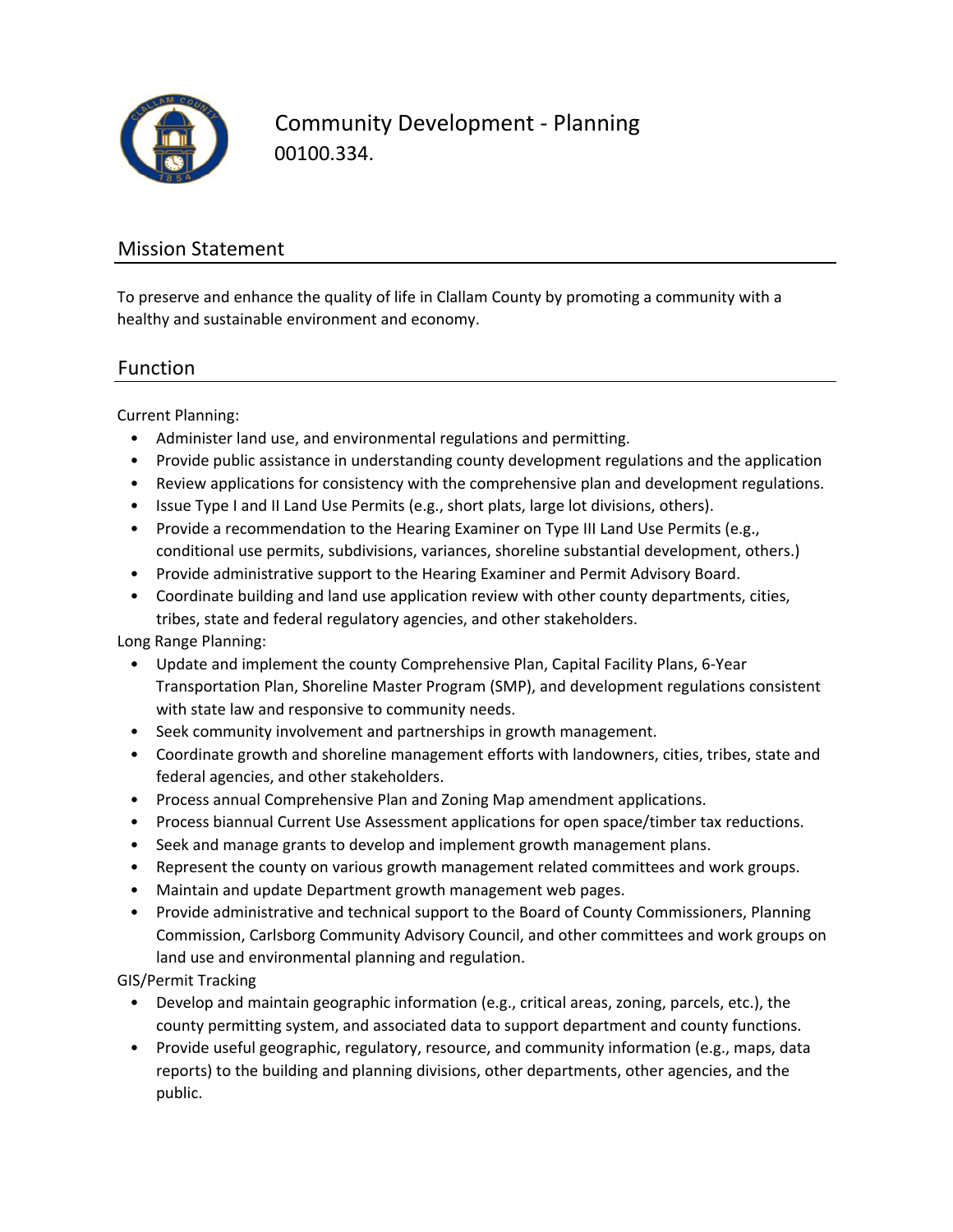

Community Development ‐ Planning 00100.334.

## Mission Statement

To preserve and enhance the quality of life in Clallam County by promoting a community with a healthy and sustainable environment and economy.

#### Function

Current Planning:

- Administer land use, and environmental regulations and permitting.
- Provide public assistance in understanding county development regulations and the application
- Review applications for consistency with the comprehensive plan and development regulations.
- Issue Type I and II Land Use Permits (e.g., short plats, large lot divisions, others).
- Provide a recommendation to the Hearing Examiner on Type III Land Use Permits (e.g., conditional use permits, subdivisions, variances, shoreline substantial development, others.)
- Provide administrative support to the Hearing Examiner and Permit Advisory Board.
- Coordinate building and land use application review with other county departments, cities, tribes, state and federal regulatory agencies, and other stakeholders.

Long Range Planning:

- Update and implement the county Comprehensive Plan, Capital Facility Plans, 6‐Year Transportation Plan, Shoreline Master Program (SMP), and development regulations consistent with state law and responsive to community needs.
- Seek community involvement and partnerships in growth management.
- Coordinate growth and shoreline management efforts with landowners, cities, tribes, state and federal agencies, and other stakeholders.
- Process annual Comprehensive Plan and Zoning Map amendment applications.
- Process biannual Current Use Assessment applications for open space/timber tax reductions.
- Seek and manage grants to develop and implement growth management plans.
- Represent the county on various growth management related committees and work groups.
- Maintain and update Department growth management web pages.
- Provide administrative and technical support to the Board of County Commissioners, Planning Commission, Carlsborg Community Advisory Council, and other committees and work groups on land use and environmental planning and regulation.

GIS/Permit Tracking

- Develop and maintain geographic information (e.g., critical areas, zoning, parcels, etc.), the county permitting system, and associated data to support department and county functions.
- Provide useful geographic, regulatory, resource, and community information (e.g., maps, data reports) to the building and planning divisions, other departments, other agencies, and the public.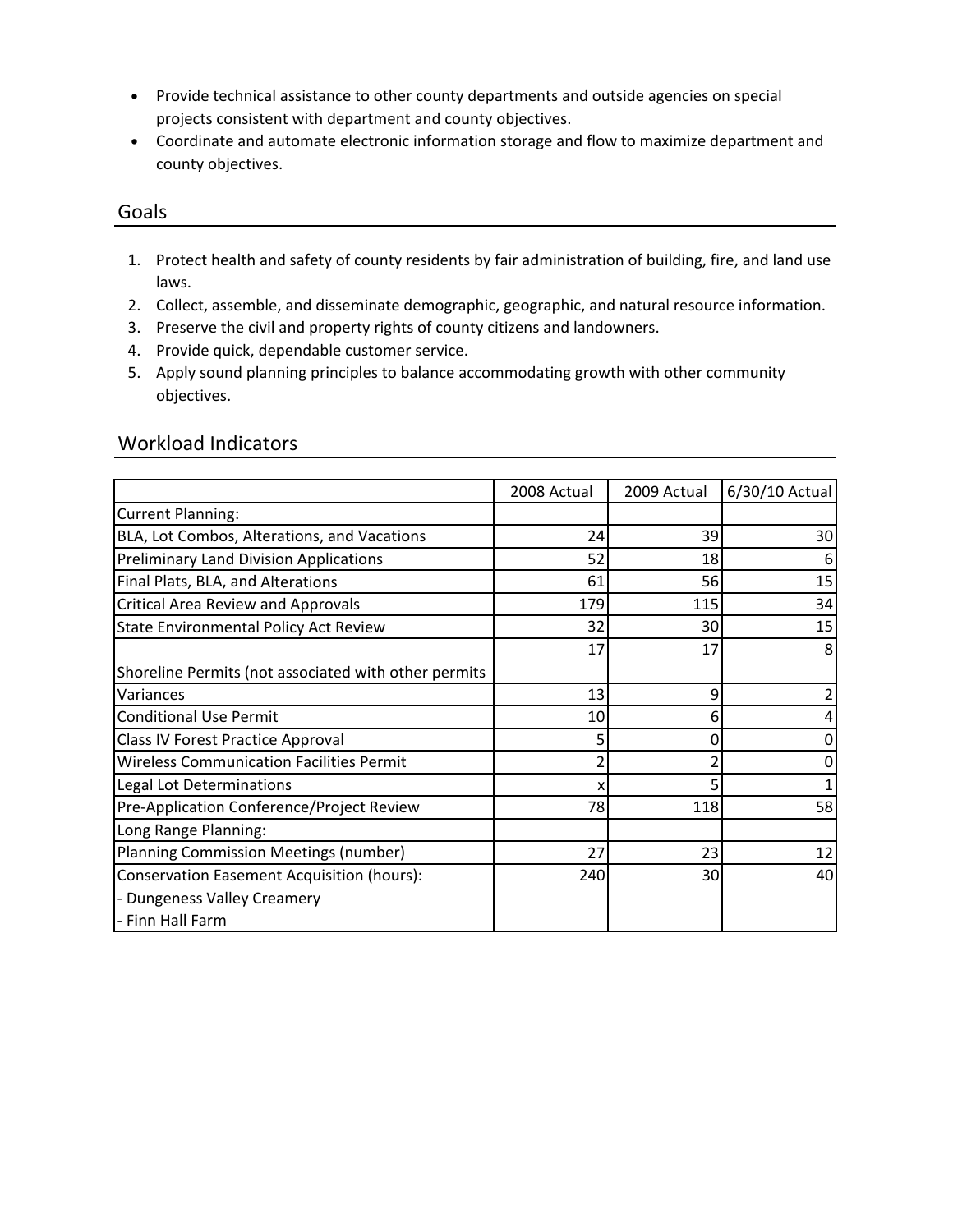- Provide technical assistance to other county departments and outside agencies on special projects consistent with department and county objectives.
- Coordinate and automate electronic information storage and flow to maximize department and county objectives.

#### Goals

- 1. Protect health and safety of county residents by fair administration of building, fire, and land use laws.
- 2. Collect, assemble, and disseminate demographic, geographic, and natural resource information.
- 3. Preserve the civil and property rights of county citizens and landowners.
- 4. Provide quick, dependable customer service.
- 5. Apply sound planning principles to balance accommodating growth with other community objectives.

| <b>Workload Indicators</b> |  |
|----------------------------|--|
|                            |  |

|                                                      | 2008 Actual | 2009 Actual | 6/30/10 Actual |
|------------------------------------------------------|-------------|-------------|----------------|
| <b>Current Planning:</b>                             |             |             |                |
| BLA, Lot Combos, Alterations, and Vacations          | 24          | 39          | 30             |
| <b>Preliminary Land Division Applications</b>        | 52          | 18          |                |
| Final Plats, BLA, and Alterations                    | 61          | 56          | 15             |
| <b>Critical Area Review and Approvals</b>            | 179         | 115         | 34             |
| <b>State Environmental Policy Act Review</b>         | 32          | 30          | 15             |
|                                                      | 17          | 17          | 8              |
| Shoreline Permits (not associated with other permits |             |             |                |
| Variances                                            | 13          | 9           |                |
| <b>Conditional Use Permit</b>                        | 10          | 6           |                |
| <b>Class IV Forest Practice Approval</b>             | 5           | 0           |                |
| <b>Wireless Communication Facilities Permit</b>      |             |             |                |
| Legal Lot Determinations                             | х           |             |                |
| Pre-Application Conference/Project Review            | 78          | 118         | 58             |
| Long Range Planning:                                 |             |             |                |
| Planning Commission Meetings (number)                | 27          | 23          | 12             |
| <b>Conservation Easement Acquisition (hours):</b>    | 240         | 30          | 40             |
| - Dungeness Valley Creamery                          |             |             |                |
| - Finn Hall Farm                                     |             |             |                |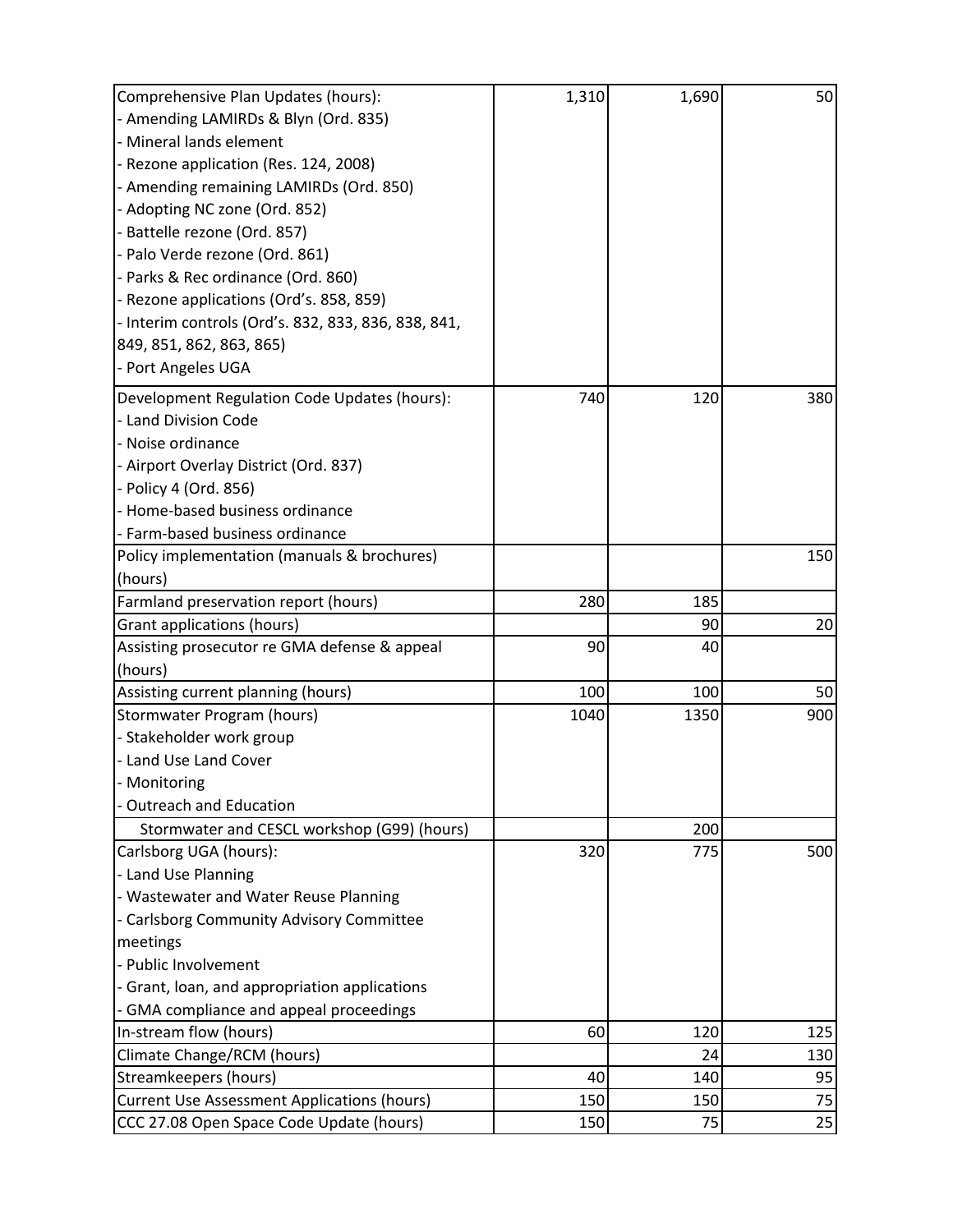| Comprehensive Plan Updates (hours):                 | 1,310 | 1,690 | 50  |
|-----------------------------------------------------|-------|-------|-----|
| - Amending LAMIRDs & Blyn (Ord. 835)                |       |       |     |
| - Mineral lands element                             |       |       |     |
| - Rezone application (Res. 124, 2008)               |       |       |     |
| - Amending remaining LAMIRDs (Ord. 850)             |       |       |     |
| - Adopting NC zone (Ord. 852)                       |       |       |     |
| - Battelle rezone (Ord. 857)                        |       |       |     |
| - Palo Verde rezone (Ord. 861)                      |       |       |     |
| - Parks & Rec ordinance (Ord. 860)                  |       |       |     |
| - Rezone applications (Ord's. 858, 859)             |       |       |     |
| - Interim controls (Ord's. 832, 833, 836, 838, 841, |       |       |     |
| 849, 851, 862, 863, 865)                            |       |       |     |
| - Port Angeles UGA                                  |       |       |     |
| Development Regulation Code Updates (hours):        | 740   | 120   | 380 |
| - Land Division Code                                |       |       |     |
| - Noise ordinance                                   |       |       |     |
| - Airport Overlay District (Ord. 837)               |       |       |     |
| - Policy 4 (Ord. 856)                               |       |       |     |
| - Home-based business ordinance                     |       |       |     |
| - Farm-based business ordinance                     |       |       |     |
| Policy implementation (manuals & brochures)         |       |       | 150 |
| (hours)                                             |       |       |     |
| Farmland preservation report (hours)                | 280   | 185   |     |
| Grant applications (hours)                          |       | 90    | 20  |
| Assisting prosecutor re GMA defense & appeal        | 90    | 40    |     |
| (hours)                                             |       |       |     |
| Assisting current planning (hours)                  | 100   | 100   | 50  |
| Stormwater Program (hours)                          | 1040  | 1350  | 900 |
| - Stakeholder work group                            |       |       |     |
| - Land Use Land Cover                               |       |       |     |
| - Monitoring                                        |       |       |     |
| <b>Outreach and Education</b>                       |       |       |     |
| Stormwater and CESCL workshop (G99) (hours)         |       | 200   |     |
| Carlsborg UGA (hours):                              | 320   | 775   | 500 |
| - Land Use Planning                                 |       |       |     |
| - Wastewater and Water Reuse Planning               |       |       |     |
| - Carlsborg Community Advisory Committee            |       |       |     |
| meetings                                            |       |       |     |
| - Public Involvement                                |       |       |     |
| - Grant, loan, and appropriation applications       |       |       |     |
| - GMA compliance and appeal proceedings             |       |       |     |
| In-stream flow (hours)                              | 60    | 120   | 125 |
| Climate Change/RCM (hours)                          |       | 24    | 130 |
| <b>Streamkeepers (hours)</b>                        | 40    | 140   | 95  |
| <b>Current Use Assessment Applications (hours)</b>  | 150   | 150   | 75  |
| CCC 27.08 Open Space Code Update (hours)            | 150   | 75    | 25  |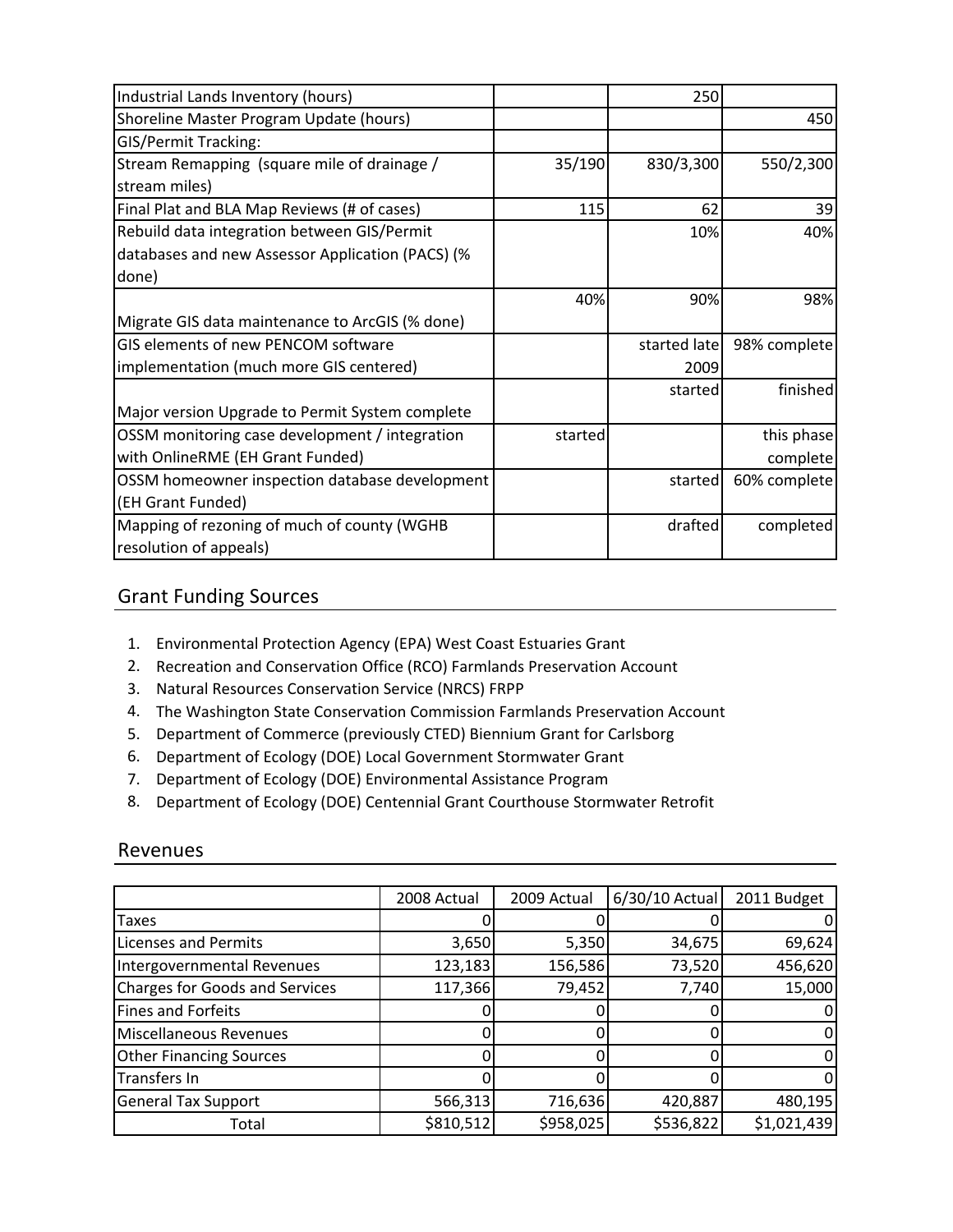| Industrial Lands Inventory (hours)               |         | 250          |              |
|--------------------------------------------------|---------|--------------|--------------|
| Shoreline Master Program Update (hours)          |         |              | 450          |
| <b>GIS/Permit Tracking:</b>                      |         |              |              |
| Stream Remapping (square mile of drainage /      | 35/190  | 830/3,300    | 550/2,300    |
| stream miles)                                    |         |              |              |
| Final Plat and BLA Map Reviews (# of cases)      | 115     | 62           | 39           |
| Rebuild data integration between GIS/Permit      |         | 10%          | 40%          |
| databases and new Assessor Application (PACS) (% |         |              |              |
| done)                                            |         |              |              |
|                                                  | 40%     | 90%          | 98%          |
| Migrate GIS data maintenance to ArcGIS (% done)  |         |              |              |
| GIS elements of new PENCOM software              |         | started late | 98% complete |
| implementation (much more GIS centered)          |         | 2009         |              |
|                                                  |         | started      | finished     |
| Major version Upgrade to Permit System complete  |         |              |              |
| OSSM monitoring case development / integration   | started |              | this phase   |
| with OnlineRME (EH Grant Funded)                 |         |              | complete     |
| OSSM homeowner inspection database development   |         | started      | 60% complete |
| (EH Grant Funded)                                |         |              |              |
| Mapping of rezoning of much of county (WGHB      |         | drafted      | completed    |
| resolution of appeals)                           |         |              |              |

## Grant Funding Sources

- 1. Environmental Protection Agency (EPA) West Coast Estuaries Grant
- 2. Recreation and Conservation Office (RCO) Farmlands Preservation Account
- 3. Natural Resources Conservation Service (NRCS) FRPP
- 4. The Washington State Conservation Commission Farmlands Preservation Account
- 5. Department of Commerce (previously CTED) Biennium Grant for Carlsborg
- 6. Department of Ecology (DOE) Local Government Stormwater Grant
- 7. Department of Ecology (DOE) Environmental Assistance Program
- 8. Department of Ecology (DOE) Centennial Grant Courthouse Stormwater Retrofit

### Revenues

|                                       | 2008 Actual | 2009 Actual | 6/30/10 Actual | 2011 Budget |
|---------------------------------------|-------------|-------------|----------------|-------------|
| Taxes                                 |             |             |                |             |
| <b>Licenses and Permits</b>           | 3,650       | 5,350       | 34,675         | 69,624      |
| Intergovernmental Revenues            | 123,183     | 156,586     | 73,520         | 456,620     |
| <b>Charges for Goods and Services</b> | 117,366     | 79,452      | 7,740          | 15,000      |
| Fines and Forfeits                    |             |             |                |             |
| Miscellaneous Revenues                |             |             |                |             |
| <b>Other Financing Sources</b>        |             |             |                |             |
| Transfers In                          |             |             |                |             |
| <b>General Tax Support</b>            | 566,313     | 716,636     | 420,887        | 480,195     |
| Total                                 | \$810,512   | \$958,025   | \$536,822      | \$1,021,439 |